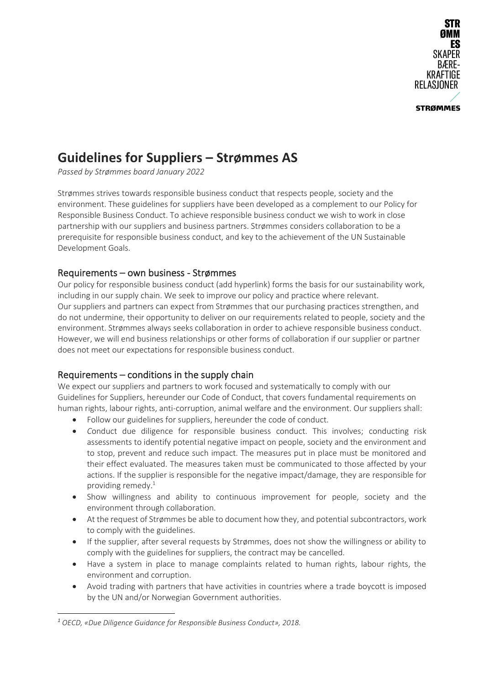

# **Guidelines for Suppliers – Strømmes AS**

*Passed by Strømmes board January 2022*

Strømmes strives towards responsible business conduct that respects people, society and the environment. These guidelines for suppliers have been developed as a complement to our Policy for Responsible Business Conduct. To achieve responsible business conduct we wish to work in close partnership with our suppliers and business partners. Strømmes considers collaboration to be a prerequisite for responsible business conduct, and key to the achievement of the UN Sustainable Development Goals.

## Requirements – own business - Strømmes

Our policy for responsible business conduct (add hyperlink) forms the basis for our sustainability work, including in our supply chain. We seek to improve our policy and practice where relevant. Our suppliers and partners can expect from Strømmes that our purchasing practices strengthen, and do not undermine, their opportunity to deliver on our requirements related to people, society and the environment. Strømmes always seeks collaboration in order to achieve responsible business conduct. However, we will end business relationships or other forms of collaboration if our supplier or partner does not meet our expectations for responsible business conduct.

## Requirements – conditions in the supply chain

We expect our suppliers and partners to work focused and systematically to comply with our Guidelines for Suppliers, hereunder our Code of Conduct, that covers fundamental requirements on human rights, labour rights, anti-corruption, animal welfare and the environment. Our suppliers shall:

- Follow our guidelines for suppliers, hereunder the code of conduct.
- *C*onduct due diligence for responsible business conduct. This involves; conducting risk assessments to identify potential negative impact on people, society and the environment and to stop, prevent and reduce such impact. The measures put in place must be monitored and their effect evaluated. The measures taken must be communicated to those affected by your actions. If the supplier is responsible for the negative impact/damage, they are responsible for providing remedy. 1
- Show willingness and ability to continuous improvement for people, society and the environment through collaboration.
- At the request of Strømmes be able to document how they, and potential subcontractors, work to comply with the guidelines.
- If the supplier, after several requests by Strømmes, does not show the willingness or ability to comply with the guidelines for suppliers, the contract may be cancelled.
- Have a system in place to manage complaints related to human rights, labour rights, the environment and corruption.
- Avoid trading with partners that have activities in countries where a trade boycott is imposed by the UN and/or Norwegian Government authorities.

*<sup>1</sup> OECD, «Due Diligence Guidance for Responsible Business Conduct», 2018.*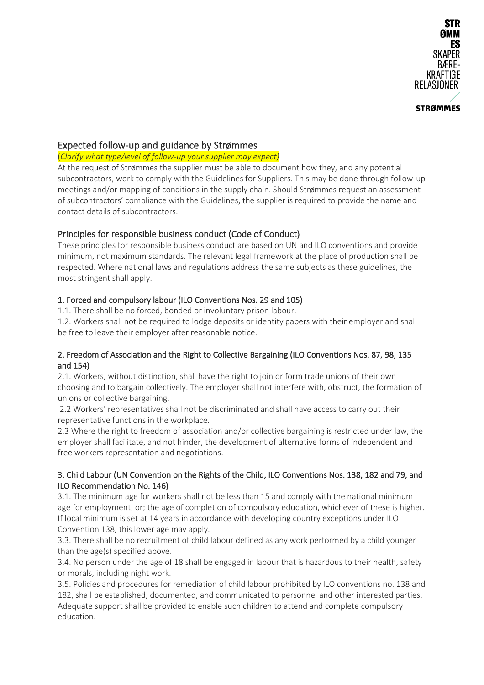

## Expected follow-up and guidance by Strømmes

(*Clarify what type/level of follow-up your supplier may expect)*

At the request of Strømmes the supplier must be able to document how they, and any potential subcontractors, work to comply with the Guidelines for Suppliers. This may be done through follow-up meetings and/or mapping of conditions in the supply chain. Should Strømmes request an assessment of subcontractors' compliance with the Guidelines, the supplier is required to provide the name and contact details of subcontractors.

## Principles for responsible business conduct (Code of Conduct)

These principles for responsible business conduct are based on UN and ILO conventions and provide minimum, not maximum standards. The relevant legal framework at the place of production shall be respected. Where national laws and regulations address the same subjects as these guidelines, the most stringent shall apply.

## 1. Forced and compulsory labour (ILO Conventions Nos. 29 and 105)

1.1. There shall be no forced, bonded or involuntary prison labour.

1.2. Workers shall not be required to lodge deposits or identity papers with their employer and shall be free to leave their employer after reasonable notice.

## 2. Freedom of Association and the Right to Collective Bargaining (ILO Conventions Nos. 87, 98, 135 and 154)

2.1. Workers, without distinction, shall have the right to join or form trade unions of their own choosing and to bargain collectively. The employer shall not interfere with, obstruct, the formation of unions or collective bargaining.

2.2 Workers' representatives shall not be discriminated and shall have access to carry out their representative functions in the workplace.

2.3 Where the right to freedom of association and/or collective bargaining is restricted under law, the employer shall facilitate, and not hinder, the development of alternative forms of independent and free workers representation and negotiations.

## 3. Child Labour (UN Convention on the Rights of the Child, ILO Conventions Nos. 138, 182 and 79, and ILO Recommendation No. 146)

3.1. The minimum age for workers shall not be less than 15 and comply with the national minimum age for employment, or; the age of completion of compulsory education, whichever of these is higher. If local minimum is set at 14 years in accordance with developing country exceptions under ILO Convention 138, this lower age may apply.

3.3. There shall be no recruitment of child labour defined as any work performed by a child younger than the age(s) specified above.

3.4. No person under the age of 18 shall be engaged in labour that is hazardous to their health, safety or morals, including night work.

3.5. Policies and procedures for remediation of child labour prohibited by ILO conventions no. 138 and 182, shall be established, documented, and communicated to personnel and other interested parties. Adequate support shall be provided to enable such children to attend and complete compulsory education.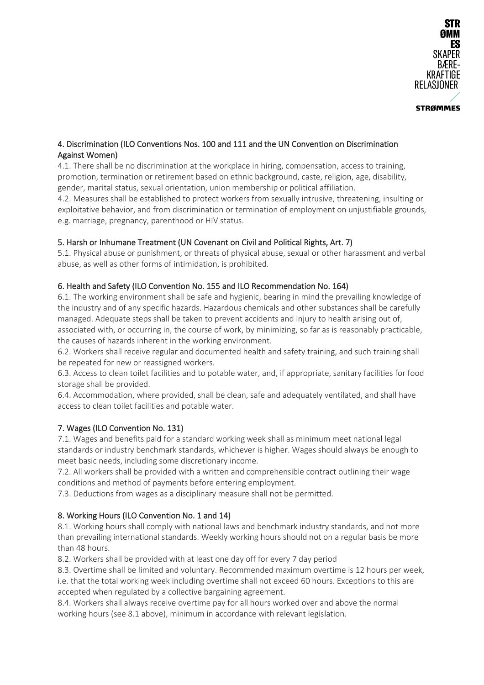

## 4. Discrimination (ILO Conventions Nos. 100 and 111 and the UN Convention on Discrimination Against Women)

4.1. There shall be no discrimination at the workplace in hiring, compensation, access to training, promotion, termination or retirement based on ethnic background, caste, religion, age, disability, gender, marital status, sexual orientation, union membership or political affiliation.

4.2. Measures shall be established to protect workers from sexually intrusive, threatening, insulting or exploitative behavior, and from discrimination or termination of employment on unjustifiable grounds, e.g. marriage, pregnancy, parenthood or HIV status.

## 5. Harsh or Inhumane Treatment (UN Covenant on Civil and Political Rights, Art. 7)

5.1. Physical abuse or punishment, or threats of physical abuse, sexual or other harassment and verbal abuse, as well as other forms of intimidation, is prohibited.

## 6. Health and Safety (ILO Convention No. 155 and ILO Recommendation No. 164)

6.1. The working environment shall be safe and hygienic, bearing in mind the prevailing knowledge of the industry and of any specific hazards. Hazardous chemicals and other substances shall be carefully managed. Adequate steps shall be taken to prevent accidents and injury to health arising out of, associated with, or occurring in, the course of work, by minimizing, so far as is reasonably practicable, the causes of hazards inherent in the working environment.

6.2. Workers shall receive regular and documented health and safety training, and such training shall be repeated for new or reassigned workers.

6.3. Access to clean toilet facilities and to potable water, and, if appropriate, sanitary facilities for food storage shall be provided.

6.4. Accommodation, where provided, shall be clean, safe and adequately ventilated, and shall have access to clean toilet facilities and potable water.

## 7. Wages (ILO Convention No. 131)

7.1. Wages and benefits paid for a standard working week shall as minimum meet national legal standards or industry benchmark standards, whichever is higher. Wages should always be enough to meet basic needs, including some discretionary income.

7.2. All workers shall be provided with a written and comprehensible contract outlining their wage conditions and method of payments before entering employment.

7.3. Deductions from wages as a disciplinary measure shall not be permitted.

## 8. Working Hours (ILO Convention No. 1 and 14)

8.1. Working hours shall comply with national laws and benchmark industry standards, and not more than prevailing international standards. Weekly working hours should not on a regular basis be more than 48 hours.

8.2. Workers shall be provided with at least one day off for every 7 day period

8.3. Overtime shall be limited and voluntary. Recommended maximum overtime is 12 hours per week, i.e. that the total working week including overtime shall not exceed 60 hours. Exceptions to this are accepted when regulated by a collective bargaining agreement.

8.4. Workers shall always receive overtime pay for all hours worked over and above the normal working hours (see 8.1 above), minimum in accordance with relevant legislation.